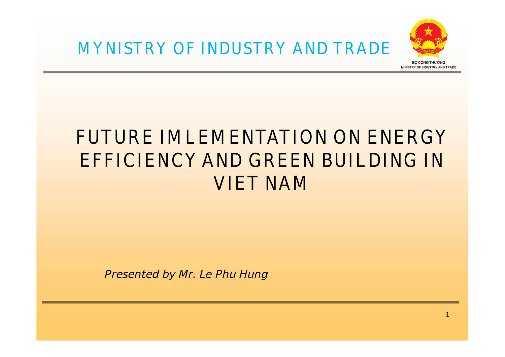

## **FUTURE IMLEMENTATION ON ENERGY EFFICIENCY AND GREEN BUILDING IN VIET NAM**

**Presented by Mr. Le Phu Hung**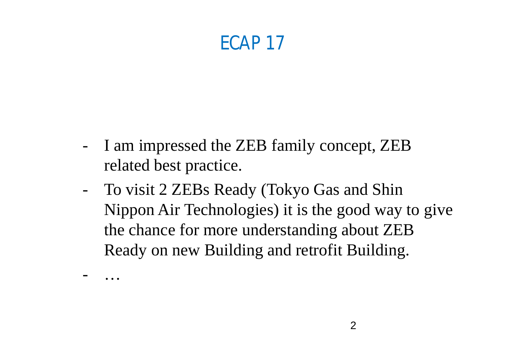## **ECAP 17**

- I am impressed the ZEB family concept, ZEB related best practice.

- …

- To visit 2 ZEBs Ready (Tokyo Gas and Shin Nippon Air Technologies) it is the good way to give the chance for more understanding about ZEB Ready on new Building and retrofit Building.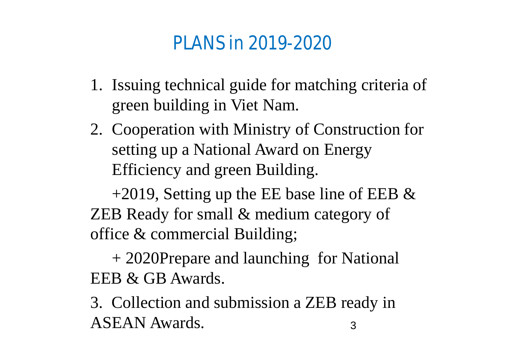## **PLANS in 2019-2020**

- 1. Issuing technical guide for matching criteria of green building in Viet Nam.
- 2. Cooperation with Ministry of Construction for setting up a National Award on Energy Efficiency and green Building.

+2019, Setting up the EE base line of EEB  $&$ ZEB Ready for small & medium category of office & commercial Building;

+ 2020Prepare and launching for National EEB & GB Awards.

3. Collection and submission a ZEB ready in ASEAN Awards. 3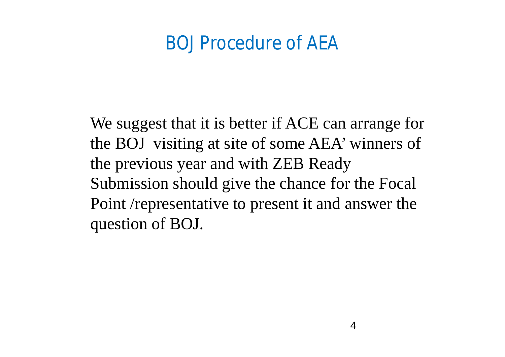## **BOJ Procedure of AEA**

We suggest that it is better if ACE can arrange for the BOJ visiting at site of some AEA' winners of the previous year and with ZEB Ready Submission should give the chance for the Focal Point /representative to present it and answer the question of BOJ.